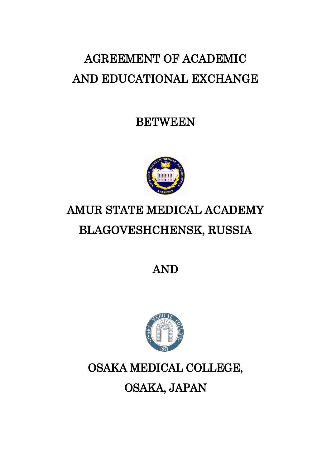# AGREEMENT OF ACADEMIC AND EDUCATIONAL EXCHANGE

BETWEEN



# AMUR STATE MEDICAL ACADEMY BLAGOVESHCHENSK, RUSSIA

AND



## OSAKA MEDICAL COLLEGE,

OSAKA, JAPAN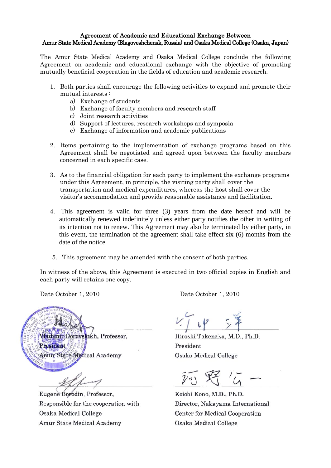#### Agreement of Academic and Educational Exchange Between Amur State Medical Academy (Blagoveshchensk, Russia) and Osaka Medical College (Osaka, Japan)

The Amur State Medical Academy and Osaka Medical College conclude the following Agreement on academic and educational exchange with the objective of promoting mutually beneficial cooperation in the fields of education and academic research.

- 1. Both parties shall encourage the following activities to expand and promote their mutual interests :
	- a) Exchange of students
	- b) Exchange of faculty members and research staff
	- c) Joint research activities
	- d) Support of lectures, research workshops and symposia
	- e) Exchange of information and academic publications
- 2. Items pertaining to the implementation of exchange programs based on this Agreement shall be negotiated and agreed upon between the faculty members concerned in each specific case.
- 3. As to the financial obligation for each party to implement the exchange programs under this Agreement, in principle, the visiting party shall cover the transportation and medical expenditures, whereas the host shall cover the visitor's accommodation and provide reasonable assistance and facilitation.
- 4. This agreement is valid for three (3) years from the date hereof and will be automatically renewed indefinitely unless either party notifies the other in writing of its intention not to renew. This Agreement may also be terminated by either party, in this event, the termination of the agreement shall take effect six (6) months from the date of the notice.
- 5. This agreement may be amended with the consent of both parties.

In witness of the above, this Agreement is executed in two official copies in English and each party will retains one copy.

Vladimir Dorovskikh, Professor,

President Amur State Medical Academy

Eugene Borodin, Professor, Responsible for the cooperation with Osaka Medical College Amur State Medical Academy

Date October 1, 2010 Date October 1, 2010

Hiroshi Takenaka, M.D., Ph.D. President **Osaka Medical College** 

Koichi Kono, M.D., Ph.D. Director, Nakayama International **Center for Medical Cooperation** Osaka Medical College